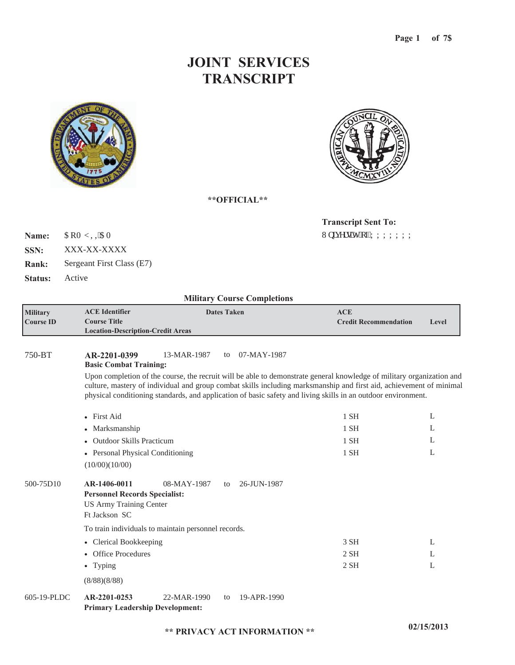## **JOINT SERVICES TRANSCRIPT**





**\*\*OFFICIAL\*\***

Wpkxgtukv{"qh'ZZZZZZZZ **Transcript Sent To:**

 $\mathsf{CRO}\left[\right.,\mathsf{KCO}\right]$ **Name:**

XXX-XX-XXXX **SSN:**

Sergeant First Class (E7) **Rank:**

**Status:** Active

### **Military Course Completions**

| <b>Military</b> | <b>ACE</b> Identifier                    | <b>Dates Taken</b> | ACE                          |       |
|-----------------|------------------------------------------|--------------------|------------------------------|-------|
| Course ID       | Course Title -                           |                    | <b>Credit Recommendation</b> | Level |
|                 | <b>Location-Description-Credit Areas</b> |                    |                              |       |

#### 750-BT **AR-2201-0399** 13-MAR-1987 to 07-MAY-1987 to

**Basic Combat Training:**

Upon completion of the course, the recruit will be able to demonstrate general knowledge of military organization and culture, mastery of individual and group combat skills including marksmanship and first aid, achievement of minimal physical conditioning standards, and application of basic safety and living skills in an outdoor environment.

|           | • First Aid                                                                                                                                 | 1 SH   | L |
|-----------|---------------------------------------------------------------------------------------------------------------------------------------------|--------|---|
|           | • Marksmanship                                                                                                                              | $1$ SH | L |
|           | • Outdoor Skills Practicum                                                                                                                  | $1$ SH | L |
|           | • Personal Physical Conditioning                                                                                                            | $1$ SH | L |
|           | (10/00)(10/00)                                                                                                                              |        |   |
| 500-75D10 | AR-1406-0011<br>26-JUN-1987<br>08-MAY-1987<br>to<br><b>Personnel Records Specialist:</b><br><b>US Army Training Center</b><br>Ft Jackson SC |        |   |
|           | To train individuals to maintain personnel records.                                                                                         |        |   |
|           | • Clerical Bookkeeping                                                                                                                      | 3 SH   | L |
|           | • Office Procedures                                                                                                                         | $2$ SH | L |
|           | $\bullet$ Typing                                                                                                                            | $2$ SH | L |
|           | (8/88)(8/88)                                                                                                                                |        |   |

#### **Primary Leadership Development: AR-2201-0253** 22-MAR-1990 19-APR-1990 605-19-PLDC to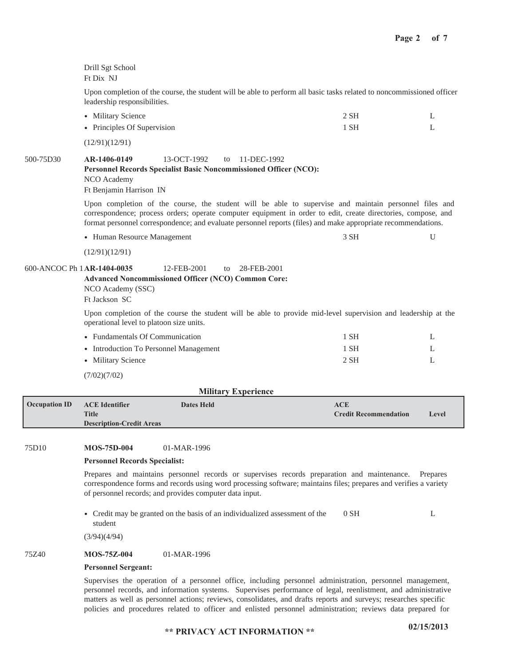|           | Drill Sgt School<br>Ft Dix NJ                                                                                                                                                                                                                                                                                                           |        |              |  |  |  |  |
|-----------|-----------------------------------------------------------------------------------------------------------------------------------------------------------------------------------------------------------------------------------------------------------------------------------------------------------------------------------------|--------|--------------|--|--|--|--|
|           | Upon completion of the course, the student will be able to perform all basic tasks related to noncommissioned officer<br>leadership responsibilities.                                                                                                                                                                                   |        |              |  |  |  |  |
|           | • Military Science<br>$2$ SH                                                                                                                                                                                                                                                                                                            |        |              |  |  |  |  |
|           | • Principles Of Supervision                                                                                                                                                                                                                                                                                                             | $1$ SH | L            |  |  |  |  |
|           | (12/91)(12/91)                                                                                                                                                                                                                                                                                                                          |        |              |  |  |  |  |
| 500-75D30 | AR-1406-0149<br>13-OCT-1992<br>11-DEC-1992<br>to<br>Personnel Records Specialist Basic Noncommissioned Officer (NCO):<br>NCO Academy<br>Ft Benjamin Harrison IN                                                                                                                                                                         |        |              |  |  |  |  |
|           | Upon completion of the course, the student will be able to supervise and maintain personnel files and<br>correspondence; process orders; operate computer equipment in order to edit, create directories, compose, and<br>format personnel correspondence; and evaluate personnel reports (files) and make appropriate recommendations. |        |              |  |  |  |  |
|           | • Human Resource Management                                                                                                                                                                                                                                                                                                             | 3 SH   | U            |  |  |  |  |
|           | (12/91)(12/91)                                                                                                                                                                                                                                                                                                                          |        |              |  |  |  |  |
|           | 600-ANCOC Ph 1 AR-1404-0035<br>12-FEB-2001<br>28-FEB-2001<br>to<br>Advanced Noncommissioned Officer (NCO) Common Core:<br>NCO Academy (SSC)<br>Ft Jackson SC                                                                                                                                                                            |        |              |  |  |  |  |
|           | Upon completion of the course the student will be able to provide mid-level supervision and leadership at the<br>operational level to platoon size units.                                                                                                                                                                               |        |              |  |  |  |  |
|           | • Fundamentals Of Communication                                                                                                                                                                                                                                                                                                         | 1 SH   | L            |  |  |  |  |
|           | • Introduction To Personnel Management                                                                                                                                                                                                                                                                                                  | $1$ SH | L            |  |  |  |  |
|           | • Military Science                                                                                                                                                                                                                                                                                                                      | $2$ SH | $\mathbf{L}$ |  |  |  |  |
|           | (7/02)(7/02)                                                                                                                                                                                                                                                                                                                            |        |              |  |  |  |  |
|           | <b>Military Experience</b>                                                                                                                                                                                                                                                                                                              |        |              |  |  |  |  |

| <b>Occupation ID</b> | <b>ACE Identifier</b>           | <b>Dates Held</b> | ACE                          |       |
|----------------------|---------------------------------|-------------------|------------------------------|-------|
|                      | <b>Title</b>                    |                   | <b>Credit Recommendation</b> | Level |
|                      | <b>Description-Credit Areas</b> |                   |                              |       |
|                      |                                 |                   |                              |       |

#### **MOS-75D-004** 75D10 01-MAR-1996

### **Personnel Records Specialist:**

Prepares and maintains personnel records or supervises records preparation and maintenance. Prepares correspondence forms and records using word processing software; maintains files; prepares and verifies a variety of personnel records; and provides computer data input.

Credit may be granted on the basis of an individualized assessment of the student 0 SH L

(3/94)(4/94)

#### **MOS-75Z-004** 75Z40 01-MAR-1996

### **Personnel Sergeant:**

Supervises the operation of a personnel office, including personnel administration, personnel management, personnel records, and information systems. Supervises performance of legal, reenlistment, and administrative matters as well as personnel actions; reviews, consolidates, and drafts reports and surveys; researches specific policies and procedures related to officer and enlisted personnel administration; reviews data prepared for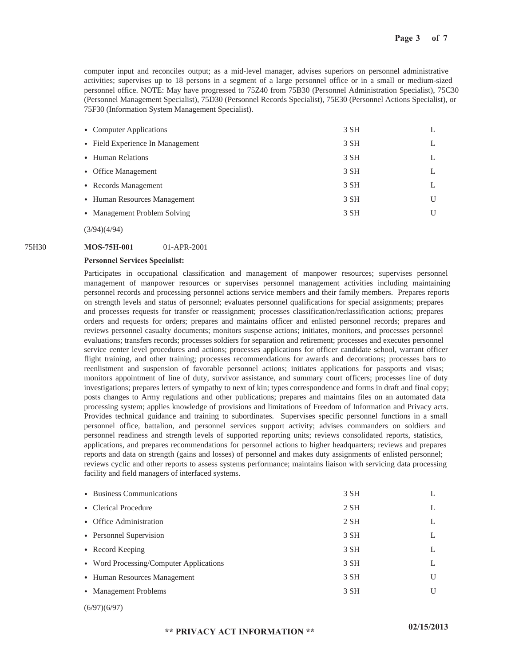computer input and reconciles output; as a mid-level manager, advises superiors on personnel administrative activities; supervises up to 18 persons in a segment of a large personnel office or in a small or medium-sized personnel office. NOTE: May have progressed to 75Z40 from 75B30 (Personnel Administration Specialist), 75C30 (Personnel Management Specialist), 75D30 (Personnel Records Specialist), 75E30 (Personnel Actions Specialist), or 75F30 (Information System Management Specialist).

| • Computer Applications          | 3 SH |   |
|----------------------------------|------|---|
| • Field Experience In Management | 3 SH |   |
| • Human Relations                | 3 SH |   |
| • Office Management              | 3 SH |   |
| • Records Management             | 3 SH |   |
| • Human Resources Management     | 3 SH | U |
| • Management Problem Solving     | 3 SH |   |
|                                  |      |   |

(3/94)(4/94)

#### 75H30 **MOS-75H-001** 01-APR-2001

### **Personnel Services Specialist:**

Participates in occupational classification and management of manpower resources; supervises personnel management of manpower resources or supervises personnel management activities including maintaining personnel records and processing personnel actions service members and their family members. Prepares reports on strength levels and status of personnel; evaluates personnel qualifications for special assignments; prepares and processes requests for transfer or reassignment; processes classification/reclassification actions; prepares orders and requests for orders; prepares and maintains officer and enlisted personnel records; prepares and reviews personnel casualty documents; monitors suspense actions; initiates, monitors, and processes personnel evaluations; transfers records; processes soldiers for separation and retirement; processes and executes personnel service center level procedures and actions; processes applications for officer candidate school, warrant officer flight training, and other training; processes recommendations for awards and decorations; processes bars to reenlistment and suspension of favorable personnel actions; initiates applications for passports and visas; monitors appointment of line of duty, survivor assistance, and summary court officers; processes line of duty investigations; prepares letters of sympathy to next of kin; types correspondence and forms in draft and final copy; posts changes to Army regulations and other publications; prepares and maintains files on an automated data processing system; applies knowledge of provisions and limitations of Freedom of Information and Privacy acts. Provides technical guidance and training to subordinates. Supervises specific personnel functions in a small personnel office, battalion, and personnel services support activity; advises commanders on soldiers and personnel readiness and strength levels of supported reporting units; reviews consolidated reports, statistics, applications, and prepares recommendations for personnel actions to higher headquarters; reviews and prepares reports and data on strength (gains and losses) of personnel and makes duty assignments of enlisted personnel; reviews cyclic and other reports to assess systems performance; maintains liaison with servicing data processing facility and field managers of interfaced systems.

| • Business Communications               | 3 SH   |   |
|-----------------------------------------|--------|---|
| • Clerical Procedure                    | $2$ SH |   |
| • Office Administration                 | $2$ SH |   |
| • Personnel Supervision                 | 3 SH   |   |
| • Record Keeping                        | 3 SH   |   |
| • Word Processing/Computer Applications | 3 SH   |   |
| • Human Resources Management            | 3 SH   | U |
| • Management Problems                   | 3 SH   | U |
|                                         |        |   |

(6/97)(6/97)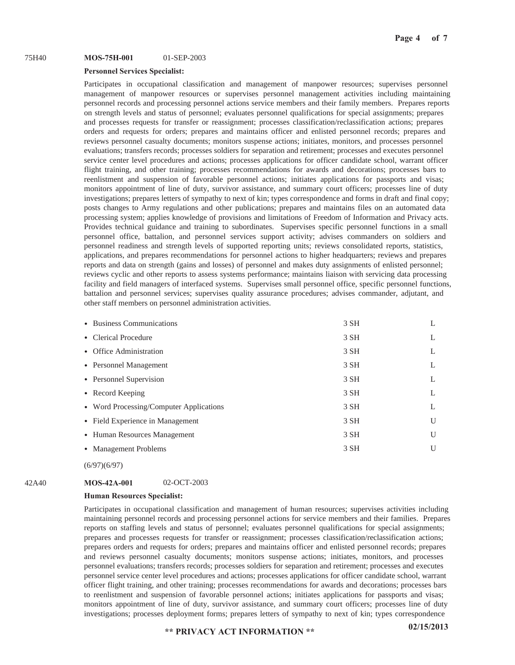#### **MOS-75H-001** 75H40 01-SEP-2003

### **Personnel Services Specialist:**

Participates in occupational classification and management of manpower resources; supervises personnel management of manpower resources or supervises personnel management activities including maintaining personnel records and processing personnel actions service members and their family members. Prepares reports on strength levels and status of personnel; evaluates personnel qualifications for special assignments; prepares and processes requests for transfer or reassignment; processes classification/reclassification actions; prepares orders and requests for orders; prepares and maintains officer and enlisted personnel records; prepares and reviews personnel casualty documents; monitors suspense actions; initiates, monitors, and processes personnel evaluations; transfers records; processes soldiers for separation and retirement; processes and executes personnel service center level procedures and actions; processes applications for officer candidate school, warrant officer flight training, and other training; processes recommendations for awards and decorations; processes bars to reenlistment and suspension of favorable personnel actions; initiates applications for passports and visas; monitors appointment of line of duty, survivor assistance, and summary court officers; processes line of duty investigations; prepares letters of sympathy to next of kin; types correspondence and forms in draft and final copy; posts changes to Army regulations and other publications; prepares and maintains files on an automated data processing system; applies knowledge of provisions and limitations of Freedom of Information and Privacy acts. Provides technical guidance and training to subordinates. Supervises specific personnel functions in a small personnel office, battalion, and personnel services support activity; advises commanders on soldiers and personnel readiness and strength levels of supported reporting units; reviews consolidated reports, statistics, applications, and prepares recommendations for personnel actions to higher headquarters; reviews and prepares reports and data on strength (gains and losses) of personnel and makes duty assignments of enlisted personnel; reviews cyclic and other reports to assess systems performance; maintains liaison with servicing data processing facility and field managers of interfaced systems. Supervises small personnel office, specific personnel functions, battalion and personnel services; supervises quality assurance procedures; advises commander, adjutant, and other staff members on personnel administration activities.

| • Business Communications               | 3 SH | L |
|-----------------------------------------|------|---|
| • Clerical Procedure                    | 3 SH | L |
| • Office Administration                 | 3 SH | L |
| • Personnel Management                  | 3 SH |   |
| • Personnel Supervision                 | 3 SH | L |
| • Record Keeping                        | 3 SH |   |
| • Word Processing/Computer Applications | 3 SH | L |
| • Field Experience in Management        | 3 SH | U |
| • Human Resources Management            | 3 SH | U |
| • Management Problems                   | 3 SH | U |
|                                         |      |   |

(6/97)(6/97)

#### **MOS-42A-001** 42A40 02-OCT-2003

### **Human Resources Specialist:**

Participates in occupational classification and management of human resources; supervises activities including maintaining personnel records and processing personnel actions for service members and their families. Prepares reports on staffing levels and status of personnel; evaluates personnel qualifications for special assignments; prepares and processes requests for transfer or reassignment; processes classification/reclassification actions; prepares orders and requests for orders; prepares and maintains officer and enlisted personnel records; prepares and reviews personnel casualty documents; monitors suspense actions; initiates, monitors, and processes personnel evaluations; transfers records; processes soldiers for separation and retirement; processes and executes personnel service center level procedures and actions; processes applications for officer candidate school, warrant officer flight training, and other training; processes recommendations for awards and decorations; processes bars to reenlistment and suspension of favorable personnel actions; initiates applications for passports and visas; monitors appointment of line of duty, survivor assistance, and summary court officers; processes line of duty investigations; processes deployment forms; prepares letters of sympathy to next of kin; types correspondence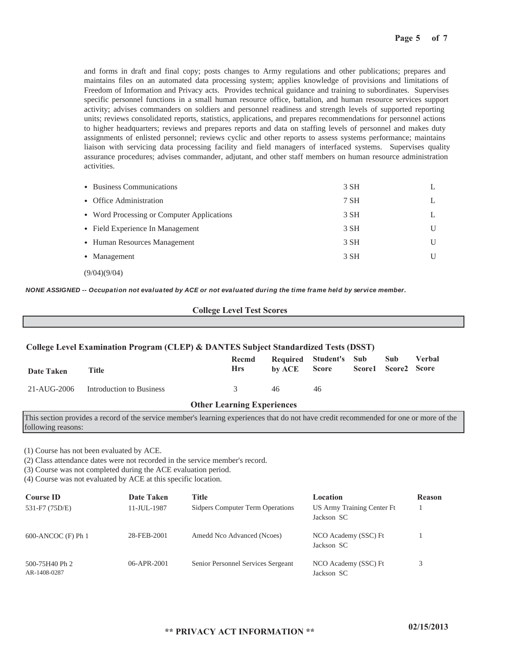and forms in draft and final copy; posts changes to Army regulations and other publications; prepares and maintains files on an automated data processing system; applies knowledge of provisions and limitations of Freedom of Information and Privacy acts. Provides technical guidance and training to subordinates. Supervises specific personnel functions in a small human resource office, battalion, and human resource services support activity; advises commanders on soldiers and personnel readiness and strength levels of supported reporting units; reviews consolidated reports, statistics, applications, and prepares recommendations for personnel actions to higher headquarters; reviews and prepares reports and data on staffing levels of personnel and makes duty assignments of enlisted personnel; reviews cyclic and other reports to assess systems performance; maintains liaison with servicing data processing facility and field managers of interfaced systems. Supervises quality assurance procedures; advises commander, adjutant, and other staff members on human resource administration activities.

| • Business Communications                  | 3 SH |  |
|--------------------------------------------|------|--|
| • Office Administration                    | 7 SH |  |
| • Word Processing or Computer Applications | 3 SH |  |
| • Field Experience In Management           | 3 SH |  |
| • Human Resources Management               | 3 SH |  |
| • Management                               | 3 SH |  |
|                                            |      |  |

(9/04)(9/04)

*NONE ASSIGNED -- Occupation not evaluated by ACE or not evaluated during the time frame held by service member.*

### **College Level Test Scores**

### **College Level Examination Program (CLEP) & DANTES Subject Standardized Tests (DSST)**

| Date Taken                        | Title                    | Recmd<br><b>Hrs</b> |    | Required Student's Sub Sub<br>by ACE Score Score1 Score2 Score |  |  | Verbal |
|-----------------------------------|--------------------------|---------------------|----|----------------------------------------------------------------|--|--|--------|
| 21-AUG-2006                       | Introduction to Business | 3                   | 46 | 46                                                             |  |  |        |
| <b>Other Learning Experiences</b> |                          |                     |    |                                                                |  |  |        |

This section provides a record of the service member's learning experiences that do not have credit recommended for one or more of the following reasons:

(1) Course has not been evaluated by ACE.

(2) Class attendance dates were not recorded in the service member's record.

(3) Course was not completed during the ACE evaluation period.

(4) Course was not evaluated by ACE at this specific location.

| <b>Course ID</b>               | Date Taken  | Title                              | Location                                 | <b>Reason</b> |
|--------------------------------|-------------|------------------------------------|------------------------------------------|---------------|
| 531-F7 (75D/E)                 | 11-JUL-1987 | Sidpers Computer Term Operations   | US Army Training Center Ft<br>Jackson SC |               |
| $600$ -ANCOC $(F)$ Ph 1        | 28-FEB-2001 | Amedd Nco Advanced (Ncoes)         | NCO Academy (SSC) Ft<br>Jackson SC       |               |
| 500-75H40 Ph 2<br>AR-1408-0287 | 06-APR-2001 | Senior Personnel Services Sergeant | NCO Academy (SSC) Ft<br>Jackson SC       |               |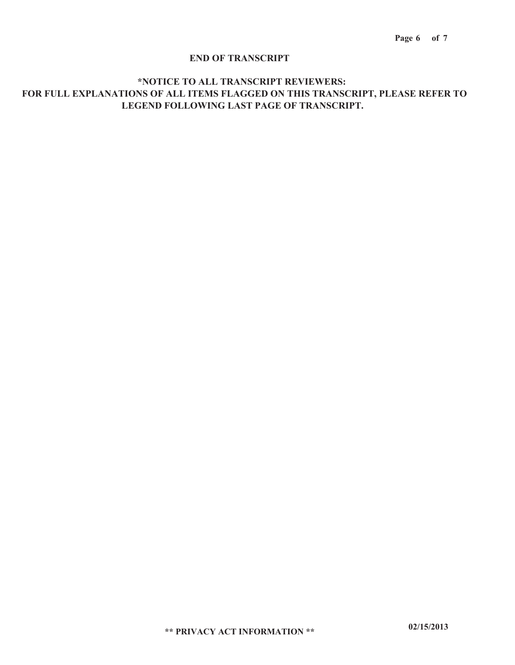### **END OF TRANSCRIPT**

### **\*NOTICE TO ALL TRANSCRIPT REVIEWERS: FOR FULL EXPLANATIONS OF ALL ITEMS FLAGGED ON THIS TRANSCRIPT, PLEASE REFER TO LEGEND FOLLOWING LAST PAGE OF TRANSCRIPT.**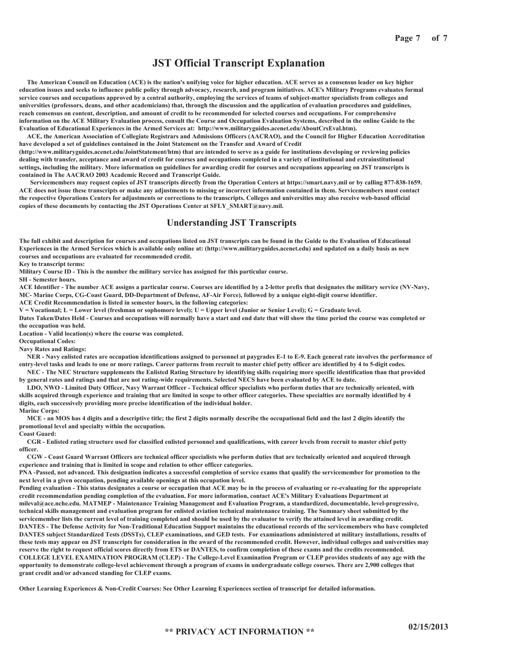### **JST Official Transcript Explanation**

 **The American Council on Education (ACE) is the nation's unifying voice for higher education. ACE serves as a consensus leader on key higher education issues and seeks to influence public policy through advocacy, research, and program initiatives. ACE's Military Programs evaluates formal service courses and occupations approved by a central authority, employing the services of teams of subject-matter specialists from colleges and universities (professors, deans, and other academicians) that, through the discussion and the application of evaluation procedures and guidelines, reach consensus on content, description, and amount of credit to be recommended for selected courses and occupations. For comprehensive information on the ACE Military Evaluation process, consult the Course and Occupation Evaluation Systems, described in the online Guide to the Evaluation of Educational Experiences in the Armed Services at: http://www.militaryguides.acenet.edu/AboutCrsEval.htm).** 

 **ACE, the American Association of Collegiate Registrars and Admissions Officers (AACRAO), and the Council for Higher Education Accreditation have developed a set of guidelines contained in the Joint Statement on the Transfer and Award of Credit (http://www.militaryguides.acenet.edu/JointStatement/htm) that are intended to serve as a guide for institutions developing or reviewing policies** 

**dealing with transfer, acceptance and award of credit for courses and occupations completed in a variety of institutional and extrainstitutional settings, including the military. More information on guidelines for awarding credit for courses and occupations appearing on JST transcripts is contained in The AACRAO 2003 Academic Record and Transcript Guide.**

 **Servicemembers may request copies of JST transcripts directly from the Operation Centers at https://smart.navy.mil or by calling 877-838-1659. ACE does not issue these transcripts or make any adjustments to missing or incorrect information contained in them. Servicemembers must contact the respective Operations Centers for adjustments or corrections to the transcripts. Colleges and universities may also receive web-based official copies of these documents by contacting the JST Operations Center at SFLY\_SMART@navy.mil.**

### **Understanding JST Transcripts**

**The full exhibit and description for courses and occupations listed on JST transcripts can be found in the Guide to the Evaluation of Educational Experiences in the Armed Services which is available only online at: (http://www.militaryguides.acenet.edu) and updated on a daily basis as new courses and occupations are evaluated for recommended credit.**

**Key to transcript terms:** 

**Military Course ID - This is the number the military service has assigned for this particular course.**

**SH - Semester hours.**

**ACE Identifier - The number ACE assigns a particular course. Courses are identified by a 2-letter prefix that designates the military service (NV-Navy, MC- Marine Corps, CG-Coast Guard, DD-Department of Defense, AF-Air Force), followed by a unique eight-digit course identifier.** 

**ACE Credit Recommendation is listed in semester hours, in the following categories:** 

**V = Vocational; L = Lower level (freshman or sophomore level); U = Upper level (Junior or Senior Level); G = Graduate level.** 

**Dates Taken/Dates Held - Courses and occupations will normally have a start and end date that will show the time period the course was completed or the occupation was held.**

**Location - Valid location(s) where the course was completed.**

**Occupational Codes:**

**Navy Rates and Ratings:**

 **NER - Navy enlisted rates are occupation identifications assigned to personnel at paygrades E-1 to E-9. Each general rate involves the performance of entry-level tasks and leads to one or more ratings. Career patterns from recruit to master chief petty officer are identified by 4 to 5-digit codes.** 

 **NEC - The NEC Structure supplements the Enlisted Rating Structure by identifying skills requiring more specific identification than that provided by general rates and ratings and that are not rating-wide requirements. Selected NECS have been evaluated by ACE to date.** 

 **LDO, NWO - Limited Duty Officer, Navy Warrant Officer - Technical officer specialists who perform duties that are technically oriented, with skills acquired through experience and training that are limited in scope to other officer categories. These specialties are normally identified by 4 digits, each successively providing more precise identification of the individual holder.** 

**Marine Corps:** 

 **MCE - an MOS has 4 digits and a descriptive title; the first 2 digits normally describe the occupational field and the last 2 digits identify the promotional level and specialty within the occupation.** 

**Coast Guard:**

 **CGR - Enlisted rating structure used for classified enlisted personnel and qualifications, with career levels from recruit to master chief petty officer.**

 **CGW - Coast Guard Warrant Officers are technical officer specialists who perform duties that are technically oriented and acquired through experience and training that is limited in scope and relation to other officer categories.** 

**PNA -Passed, not advanced. This designation indicates a successful completion of service exams that qualify the servicemember for promotion to the next level in a given occupation, pending available openings at this occupation level.** 

**Pending evaluation - This status designates a course or occupation that ACE may be in the process of evaluating or re-evaluating for the appropriate credit recommendation pending completion of the evaluation. For more information, contact ACE's Military Evaluations Department at mileval@ace.nche.edu. MATMEP - Maintenance Training Management and Evaluation Program, a standardized, documentable, level-progressive, technical skills management and evaluation program for enlisted aviation technical maintenance training. The Summary sheet submitted by the servicemember lists the current level of training completed and should be used by the evaluator to verify the attained level in awarding credit. DANTES - The Defense Activity for Non-Traditional Education Support maintains the educational records of the servicemembers who have completed DANTES subject Standardized Tests (DSSTs), CLEP examinations, and GED tests. For examinations administered at military installations, results of these tests may appear on JST transcripts for consideration in the award of the recommended credit. However, individual colleges and universities may reserve the right to request official scores directly from ETS or DANTES, to confirm completion of these exams and the credits recommended. COLLEGE LEVEL EXAMINATION PROGRAM (CLEP) - The College-Level Examination Program or CLEP provides students of any age with the opportunity to demonstrate college-level achievement through a program of exams in undergraduate college courses. There are 2,900 colleges that grant credit and/or advanced standing for CLEP exams.**

**Other Learning Experiences & Non-Credit Courses: See Other Learning Experiences section of transcript for detailed information.**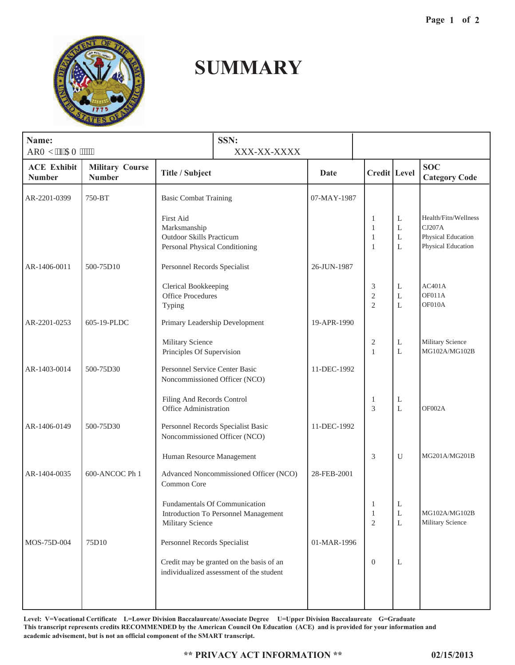

# **SUMMARY**

| Name:<br>ARO [ .'I'CO """""         |                                         |                                                                                                | SSN:<br>XXX-XX-XXXX                                                                  |             |                                                   |                  |                                                                            |
|-------------------------------------|-----------------------------------------|------------------------------------------------------------------------------------------------|--------------------------------------------------------------------------------------|-------------|---------------------------------------------------|------------------|----------------------------------------------------------------------------|
| <b>ACE Exhibit</b><br><b>Number</b> | <b>Military Course</b><br><b>Number</b> | Title / Subject                                                                                |                                                                                      | Date        | Credit Level                                      |                  | <b>SOC</b><br><b>Category Code</b>                                         |
| AR-2201-0399                        | 750-BT                                  | <b>Basic Combat Training</b>                                                                   |                                                                                      | 07-MAY-1987 |                                                   |                  |                                                                            |
|                                     |                                         | First Aid<br>Marksmanship<br><b>Outdoor Skills Practicum</b><br>Personal Physical Conditioning |                                                                                      |             | 1<br>$\mathbf{1}$<br>$\mathbf{1}$<br>$\mathbf{1}$ | L<br>L<br>L<br>L | Health/Fitn/Wellness<br>CJ207A<br>Physical Education<br>Physical Education |
| AR-1406-0011                        | 500-75D10                               | Personnel Records Specialist                                                                   |                                                                                      | 26-JUN-1987 |                                                   |                  |                                                                            |
|                                     |                                         | Clerical Bookkeeping<br><b>Office Procedures</b><br>Typing                                     |                                                                                      |             | 3<br>$\overline{2}$<br>$\overline{2}$             | L<br>L<br>L      | AC401A<br>OF011A<br>OF010A                                                 |
| AR-2201-0253                        | 605-19-PLDC                             | Primary Leadership Development                                                                 |                                                                                      | 19-APR-1990 |                                                   |                  |                                                                            |
|                                     |                                         |                                                                                                | Military Science<br>Principles Of Supervision                                        |             | $\overline{\mathbf{c}}$<br>1                      | L<br>L           | Military Science<br>MG102A/MG102B                                          |
| AR-1403-0014                        | 500-75D30                               | Personnel Service Center Basic<br>Noncommissioned Officer (NCO)                                |                                                                                      | 11-DEC-1992 |                                                   |                  |                                                                            |
|                                     |                                         | Filing And Records Control<br>Office Administration                                            |                                                                                      |             | 1<br>3                                            | L<br>L           | OF002A                                                                     |
| AR-1406-0149                        | 500-75D30                               | Noncommissioned Officer (NCO)                                                                  | Personnel Records Specialist Basic                                                   | 11-DEC-1992 |                                                   |                  |                                                                            |
|                                     |                                         | Human Resource Management                                                                      |                                                                                      |             | 3                                                 | $\mathbf U$      | MG201A/MG201B                                                              |
| AR-1404-0035                        | 600-ANCOC Ph 1                          | Common Core                                                                                    | Advanced Noncommissioned Officer (NCO)                                               | 28-FEB-2001 |                                                   |                  |                                                                            |
|                                     |                                         | Fundamentals Of Communication<br>Introduction To Personnel Management<br>Military Science      |                                                                                      |             | $\mathbf{1}$<br>$\mathbf{1}$<br>$\mathfrak{2}$    | $\mathbf L$<br>L | MG102A/MG102B<br>Military Science                                          |
| MOS-75D-004                         | 75D10                                   | Personnel Records Specialist                                                                   |                                                                                      | 01-MAR-1996 |                                                   |                  |                                                                            |
|                                     |                                         |                                                                                                | Credit may be granted on the basis of an<br>individualized assessment of the student |             | $\mathbf{0}$                                      | L                |                                                                            |
|                                     |                                         |                                                                                                |                                                                                      |             |                                                   |                  |                                                                            |

**Level: V=Vocational Certificate L=Lower Division Baccalaureate/Associate Degree U=Upper Division Baccalaureate G=Graduate This transcript represents credits RECOMMENDED by the American Council On Education (ACE) and is provided for your information and academic advisement, but is not an official component of the SMART transcript.**